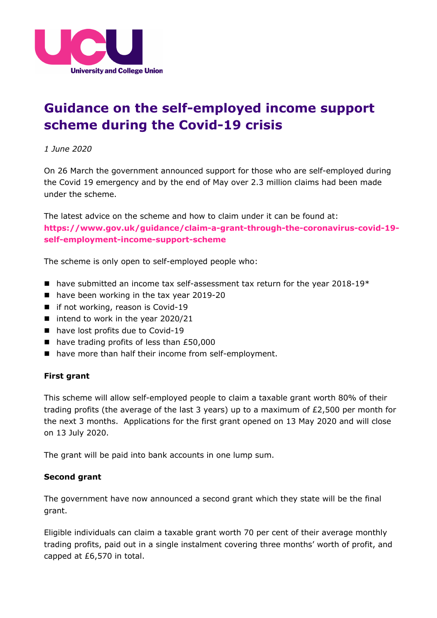

## **Guidance on the self-employed income support scheme during the Covid-19 crisis**

*1 June 2020*

On 26 March the government announced support for those who are self-employed during the Covid 19 emergency and by the end of May over 2.3 million claims had been made under the scheme.

The latest advice on the scheme and how to claim under it can be found at: **[https://www.gov.uk/guidance/claim-a-grant-through-the-coronavirus-covid-19](https://www.gov.uk/guidance/claim-a-grant-through-the-coronavirus-covid-19-self-employment-income-support-scheme) [self-employment-income-support-scheme](https://www.gov.uk/guidance/claim-a-grant-through-the-coronavirus-covid-19-self-employment-income-support-scheme)**

The scheme is only open to self-employed people who:

- n have submitted an income tax self-assessment tax return for the year 2018-19 $*$
- $\blacksquare$  have been working in the tax year 2019-20
- $\blacksquare$  if not working, reason is Covid-19
- $\blacksquare$  intend to work in the year 2020/21
- $\blacksquare$  have lost profits due to Covid-19
- $\blacksquare$  have trading profits of less than £50,000
- n have more than half their income from self-employment.

## **First grant**

This scheme will allow self-employed people to claim a taxable grant worth 80% of their trading profits (the average of the last 3 years) up to a maximum of £2,500 per month for the next 3 months. Applications for the first grant opened on 13 May 2020 and will close on 13 July 2020.

The grant will be paid into bank accounts in one lump sum.

## **Second grant**

The government have now announced a second grant which they state will be the final grant.

Eligible individuals can claim a taxable grant worth 70 per cent of their average monthly trading profits, paid out in a single instalment covering three months' worth of profit, and capped at £6,570 in total.